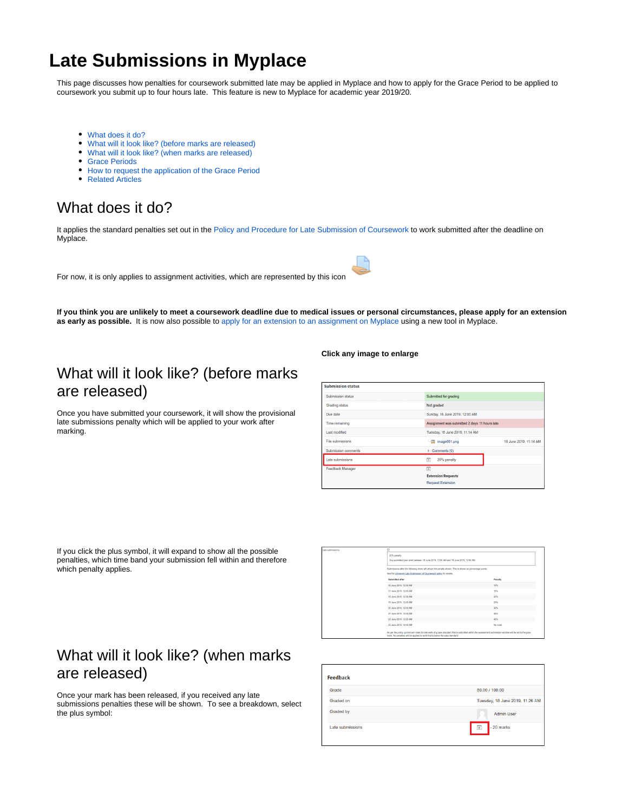# **Late Submissions in Myplace**

This page discusses how penalties for coursework submitted late may be applied in Myplace and how to apply for the Grace Period to be applied to coursework you submit up to four hours late. This feature is new to Myplace for academic year 2019/20.

- [What does it do?](#page-0-0)
- [What will it look like? \(before marks are released\)](#page-0-1)
- [What will it look like? \(when marks are released\)](#page-0-2)
- [Grace Periods](#page-1-0)
- [How to request the application of the Grace Period](#page-1-1)
- [Related Articles](#page-1-2)

#### <span id="page-0-0"></span>What does it do?

It applies the standard penalties set out in the [Policy and Procedure for Late Submission of Coursework](https://www.strath.ac.uk/media/ps/cs/gmap/academicaffairs/policies/Policy_and_Procedure_on_Extensions_to_Submissions_of_Coursework.pdf) to work submitted after the deadline on Myplace.

For now, it is only applies to assignment activities, which are represented by this icon



**If you think you are unlikely to meet a coursework deadline due to medical issues or personal circumstances, please apply for an extension as early as possible.** It is now also possible to [apply for an extension to an assignment on Myplace](https://support.myplace.strath.ac.uk/pages/viewpage.action?pageId=46366786) using a new tool in Myplace.

## <span id="page-0-1"></span>What will it look like? (before marks are released)

Once you have submitted your coursework, it will show the provisional late submissions penalty which will be applied to your work after marking.

#### **Click any image to enlarge**

| <b>Submission status</b>   |                                               |                        |
|----------------------------|-----------------------------------------------|------------------------|
| Submission status          | Submitted for grading                         |                        |
| <b>Grading status</b>      | Not graded                                    |                        |
| Due date                   | Sunday, 16 June 2019, 12:00 AM                |                        |
| Time remaining             | Assignment was submitted 2 days 11 hours late |                        |
| <b>Last modified</b>       | Tuesday, 18 June 2019, 11:14 AM               |                        |
| File submissions           | $\equiv$ image001.png                         | 18 June 2019, 11:14 AM |
| <b>Submission comments</b> | $\triangleright$ Comments (0)                 |                        |
| Late submissions           | $\overline{+}$<br>20% penalty                 |                        |
| <b>Feedback Manager</b>    | $\overline{+}$                                |                        |
|                            | <b>Extension Requests</b>                     |                        |
|                            | <b>Request Extension</b>                      |                        |

If you click the plus symbol, it will expand to show all the possible penalties, which time band your submission fell within and therefore which penalty applies.

| ubmissions | E                                                                                                                                                                                                                                   |         |
|------------|-------------------------------------------------------------------------------------------------------------------------------------------------------------------------------------------------------------------------------------|---------|
|            | 20% penalty                                                                                                                                                                                                                         |         |
|            | You submitted your work between 18 June 2019, 12:00 AM and 19 June 2019, 12:00 AM                                                                                                                                                   |         |
|            |                                                                                                                                                                                                                                     |         |
|            | Submissions after the following times will attract the penalty shown. This is shown as percentage points.                                                                                                                           |         |
|            | See the University Late Submission of Coursework policy for details.                                                                                                                                                                |         |
|            | Submitted after                                                                                                                                                                                                                     | Penalty |
|            | 16 June 2019, 12:00 AM                                                                                                                                                                                                              | 10%     |
|            | 17 June 2019, 12:00 AM                                                                                                                                                                                                              | 15%     |
|            | 18 June 2019, 12:00 AM                                                                                                                                                                                                              | 20%     |
|            | 19 June 2019, 12:00 AM                                                                                                                                                                                                              | 25%     |
|            | 20 June 2019, 12:00 AM                                                                                                                                                                                                              | 30%     |
|            | 21 June 2019, 12:00 AM                                                                                                                                                                                                              | 35%     |
|            | 22 June 2019, 12:00 AM                                                                                                                                                                                                              | 40%     |
|            | 23 June 2019, 12:00 AM                                                                                                                                                                                                              | No mark |
|            | As per the policy, a minimum mark for late work of a pass standard that is submitted within the assessment submission window will be set to the pass<br>mark. No penalties will be applied to work that is below the pass standard. |         |

### <span id="page-0-2"></span>What will it look like? (when marks are released)

Once your mark has been released, if you received any late submissions penalties these will be shown. To see a breakdown, select the plus symbol:

| Grade            | 80.00 / 100.00                  |
|------------------|---------------------------------|
| Graded on        | Tuesday, 18 June 2019, 11:26 AM |
| Graded by        | <b>Admin User</b>               |
| Late submissions | $\overline{+}$<br>$-20$ marks   |